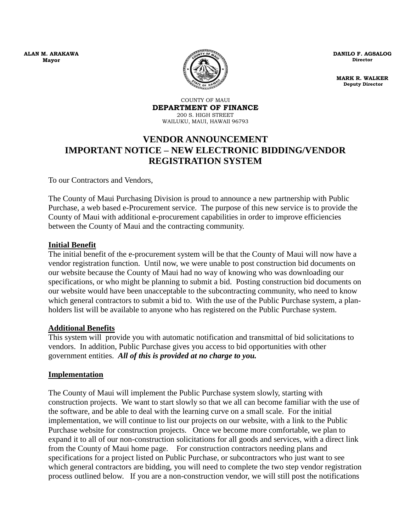**ALAN M. ARAKAWA Mayor**



**DANILO F. AGSALOG Director** 

**MARK R. WALKER Deputy Director** 

COUNTY OF MAUI **DEPARTMENT OF FINANCE** 200 S. HIGH STREET WAILUKU, MAUI, HAWAII 96793

# **VENDOR ANNOUNCEMENT IMPORTANT NOTICE – NEW ELECTRONIC BIDDING/VENDOR REGISTRATION SYSTEM**

To our Contractors and Vendors,

The County of Maui Purchasing Division is proud to announce a new partnership with Public Purchase, a web based e-Procurement service. The purpose of this new service is to provide the County of Maui with additional e-procurement capabilities in order to improve efficiencies between the County of Maui and the contracting community.

### **Initial Benefit**

The initial benefit of the e-procurement system will be that the County of Maui will now have a vendor registration function. Until now, we were unable to post construction bid documents on our website because the County of Maui had no way of knowing who was downloading our specifications, or who might be planning to submit a bid. Posting construction bid documents on our website would have been unacceptable to the subcontracting community, who need to know which general contractors to submit a bid to. With the use of the Public Purchase system, a planholders list will be available to anyone who has registered on the Public Purchase system.

#### **Additional Benefits**

This system will provide you with automatic notification and transmittal of bid solicitations to vendors. In addition, Public Purchase gives you access to bid opportunities with other government entities. *All of this is provided at no charge to you.*

#### **Implementation**

The County of Maui will implement the Public Purchase system slowly, starting with construction projects. We want to start slowly so that we all can become familiar with the use of the software, and be able to deal with the learning curve on a small scale. For the initial implementation, we will continue to list our projects on our website, with a link to the Public Purchase website for construction projects. Once we become more comfortable, we plan to expand it to all of our non-construction solicitations for all goods and services, with a direct link from the County of Maui home page. For construction contractors needing plans and specifications for a project listed on Public Purchase, or subcontractors who just want to see which general contractors are bidding, you will need to complete the two step vendor registration process outlined below. If you are a non-construction vendor, we will still post the notifications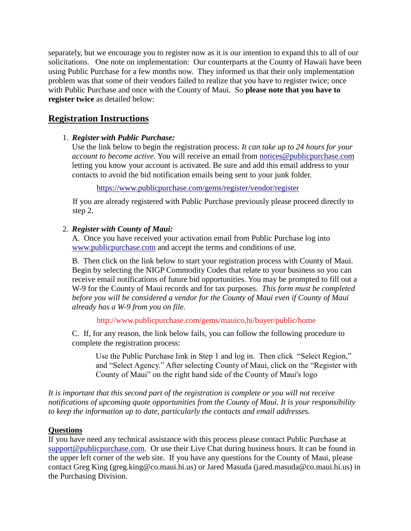separately, but we encourage you to register now as it is our intention to expand this to all of our solicitations. One note on implementation: Our counterparts at the County of Hawaii have been using Public Purchase for a few months now. They informed us that their only implementation problem was that some of their vendors failed to realize that you have to register twice; once with Public Purchase and once with the County of Maui. So **please note that you have to register twice** as detailed below:

# **Registration Instructions**

### 1. *Register with Public Purchase:*

Use the link below to begin the registration process. *It can take up to 24 hours for your account to become active.* You will receive an email from [notices@publicpurchase.com](mailto:notices@publicpurchase.com) letting you know your account is activated. Be sure and add this email address to your contacts to avoid the bid notification emails being sent to your junk folder.

<https://www.publicpurchase.com/gems/register/vendor/register>

If you are already registered with Public Purchase previously please proceed directly to step 2.

### 2. *Register with County of Maui:*

A. Once you have received your activation email from Public Purchase log into [www.publicpurchase.com](http://www.publicpurchase.com/) and accept the terms and conditions of use.

B. Then click on the link below to start your registration process with County of Maui. Begin by selecting the NIGP Commodity Codes that relate to your business so you can receive email notifications of future bid opportunities. You may be prompted to fill out a W-9 for the County of Maui records and for tax purposes. *This form must be completed before you will be considered a vendor for the County of Maui even if County of Maui already has a W-9 from you on file.*

http://www.publicpurchase.com/gems/mauico,hi/buyer/public/home

C. If, for any reason, the link below fails, you can follow the following procedure to complete the registration process:

Use the Public Purchase link in Step 1 and log in. Then click "Select Region," and "Select Agency." After selecting County of Maui, click on the "Register with County of Maui" on the right hand side of the County of Maui's logo

*It is important that this second part of the registration is complete or you will not receive notifications of upcoming quote opportunities from the County of Maui. It is your responsibility to keep the information up to date, particularly the contacts and email addresses.*

## **Questions**

If you have need any technical assistance with this process please contact Public Purchase at [support@publicpurchase.com.](mailto:support@publicpurchase.com) Or use their Live Chat during business hours. It can be found in the upper left corner of the web site. If you have any questions for the County of Maui, please contact Greg King (greg.king@co.maui.hi.us) or Jared Masuda (jared.masuda@co.maui.hi.us) in the Purchasing Division.